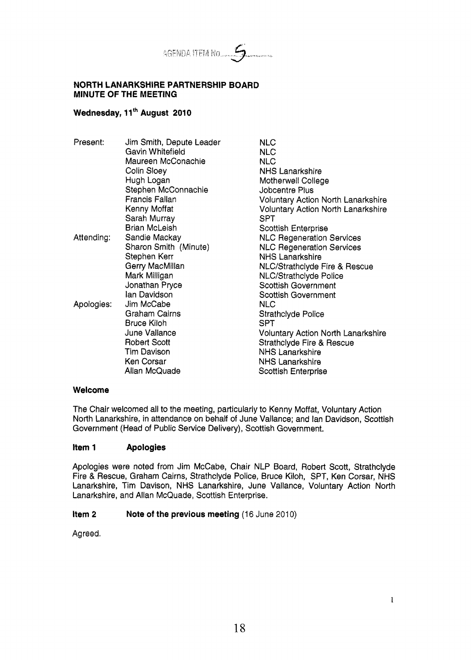

#### **NORTH LANARKSHIRE PARTNERSHIP BOARD MINUTE OF THE MEETING**

# Wednesday, 11<sup>th</sup> August 2010

| Present:   | Jim Smith, Depute Leader | <b>NLC</b>                                |
|------------|--------------------------|-------------------------------------------|
|            | Gavin Whitefield         | <b>NLC</b>                                |
|            | Maureen McConachie       | <b>NLC</b>                                |
|            | Colin Sloey              | <b>NHS Lanarkshire</b>                    |
|            | Hugh Logan               | Motherwell College                        |
|            | Stephen McConnachie      | Jobcentre Plus                            |
|            | Francis Fallan           | <b>Voluntary Action North Lanarkshire</b> |
|            | Kenny Moffat             | <b>Voluntary Action North Lanarkshire</b> |
|            | Sarah Murray             | <b>SPT</b>                                |
|            | <b>Brian McLeish</b>     | <b>Scottish Enterprise</b>                |
| Attending: | Sandie Mackay            | <b>NLC Regeneration Services</b>          |
|            | Sharon Smith (Minute)    | <b>NLC Regeneration Services</b>          |
|            | Stephen Kerr             | <b>NHS Lanarkshire</b>                    |
|            | Gerry MacMillan          | NLC/Strathclyde Fire & Rescue             |
|            | Mark Milligan            | <b>NLC/Strathclyde Police</b>             |
|            | Jonathan Pryce           | Scottish Government                       |
|            | lan Davidson             | <b>Scottish Government</b>                |
| Apologies: | Jim McCabe               | <b>NLC</b>                                |
|            | Graham Cairns            | Strathclyde Police                        |
|            | Bruce Kiloh              | SPT                                       |
|            | June Vallance            | Voluntary Action North Lanarkshire        |
|            | <b>Robert Scott</b>      | <b>Strathclyde Fire &amp; Rescue</b>      |
|            | <b>Tim Davison</b>       | <b>NHS Lanarkshire</b>                    |
|            | Ken Corsar               | <b>NHS Lanarkshire</b>                    |
|            | Allan McQuade            | <b>Scottish Enterprise</b>                |
|            |                          |                                           |

### **Welcome**

The Chair welcomed all to the meeting, particularly to Kenny Moffat, Voluntary Action North Lanarkshire, in attendance **on** behalf of June Vallance; and lan Davidson, Scottish Government (Head of Public Service Delivery), Scottish Government.

### **Item 1 Apologies**

Apologies were noted from Jim McCabe, Chair NLP Board, Robert Scott, Strathclyde Fire & Rescue, Graham Cairns, Strathclyde Police, Bruce Kiloh, SPT, Ken Corsar, NHS Lanarkshire, Tim Davison, NHS Lanarkshire, June Vallance, Voluntary Action North Lanarkshire, and Allan McQuade, Scottish Enterprise.

## **Item 2** Note of the previous meeting (16 June 2010)

Agreed.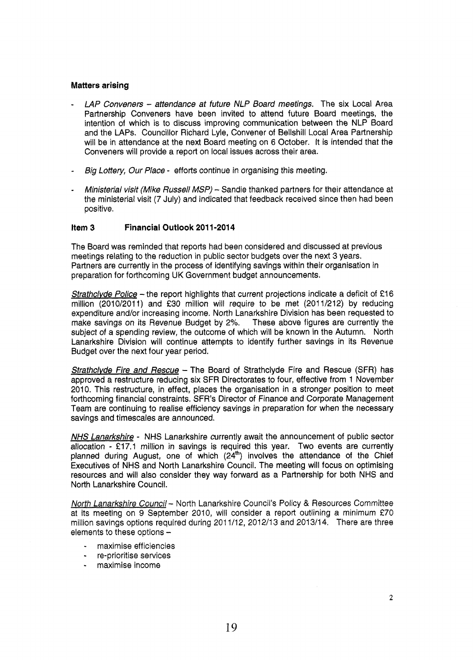## **Matters arising**

- *LAP Convenets attendance at future NLP Board* meetings. The six Local Area Partnership Conveners have been invited to attend future Board meetings, the intention of which is to discuss improving communication between the NLP Board and the LAPS. Councillor Richard Lyle, Convener of Bellshill Local Area Partnership will be in attendance at the next Board meeting on 6 October. It is intended that the Conveners will provide a report on local issues across their area.
- *Big Lottery, Our Place*  efforts continue in organising this meeting.
- *Ministerial visit (Mike Russell MSP)* Sandie thanked partners for their attendance at the ministerial visit (7 July) and indicated that feedback received since then had been positive.

#### **item 3 Financial Outlook 2011-2014**

The Board was reminded that reports had been considered and discussed at previous meetings relating to the reduction in public sector budgets over the next 3 years. Partners are currently in the process of identifying savings within their organisation in preparation for forthcoming UK Government budget announcements.

*Strathclyde Police* - the report highlights that current projections indicate a deficit of £16 million (2010/2011) and **f30** million will require to be met (2011/212) by reducing expenditure and/or increasing income. North Lanarkshire Division has been requested to make savings on its Revenue Budget by 2%. These above figures are currently the make savings on its Revenue Budget by 2%. subject of a spending review, the outcome of which will be known in the Autumn. North Lanarkshire Division will continue attempts to identify further savings in its Revenue Budget over the next four year period.

**Strathclyde Fire and Rescue - The Board of Strathclyde Fire and Rescue (SFR) has** approved a restructure reducing six SFR Directorates to four, effective from 1 November 2010. This restructure, in effect, places the organisation in a stronger position to meet forthcoming financial constraints. SFR's Director of Finance and Corporate Management Team are continuing to realise efficiency savings in preparation for when the necessary savings and timescales are announced.

*NUS Lanarkshire* - NHS Lanarkshire currently await the announcement of public sector allocation - €17.1 million in savings is required this year. Two events are currently planned during August, one of which  $(24<sup>th</sup>)$  involves the attendance of the Chief Executives of NHS and North Lanarkshire Council. The meeting will focus on optimising resources and will also consider they way forward as a Partnership for both NHS and North Lanarkshire Council.

*North Lanarkshire Council* - North Lanarkshire Council's Policy & Resources Committee at its meeting on 9 September 2010, will consider a report outlining a minimum €70 million savings options required during 2011/12, 2012/13 and 2013/14. There are three elements to these options -

- maximise efficiencies
- re-prioritise services
- maximise income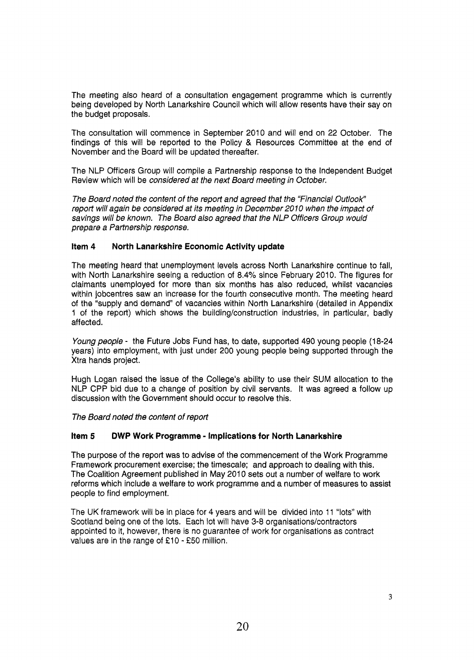The meeting also heard of a consultation engagement programme which is currently being developed by North Lanarkshire Council which will allow resents have their say on the budget proposals.

The consultation will commence in September 2010 and will end on 22 October. The findings of this will be reported to the Policy & Resources Committee at the end of November and the Board will be updated thereafter.

The NLP Officers Group will compile a Partnership response to the Independent Budget Review which will be *considered at the next Board meeting in October.* 

*The Board noted the content of the report and agreed that the "Financial OutlooK' report will again be considered at its meeting in December 2010 when the impact of savings will be known. The Board also agreed that the NLP Officers Group would prepare a Partnership response.* 

### **Item 4 North Lanarkshire Economic Activity update**

The meeting heard that unemployment levels across North Lanarkshire continue to fall, with North Lanarkshire seeing a reduction of 8.4% since February 2010. The figures for claimants unemployed for more than six months has also reduced, whilst vacancies within jobcentres saw an increase for the fourth consecutive month. The meeting heard of the "supply and demand" of vacancies within North Lanarkshire (detailed in Appendix 1 of the report) which shows the building/construction industries, in particular, badly affected.

*Young people* - the Future Jobs Fund has, to date, supported 490 young people (18-24 years) into employment, with just under 200 young people being supported through the Xtra hands project.

Hugh Logan raised the issue of the College's ability to use their SUM allocation to the NLP CPP bid due to a change of position by civil servants. It was agreed a follow up discussion with the Government should occur to resolve this.

*The Board noted the content of report* 

### **item 5 DWP Work Programme** - **Implications for North Lanarkshire**

The purpose of the report was to advise of the commencement of the Work Programme Framework procurement exercise; the timescale; and approach to dealing with this. The Coalition Agreement published in May 2010 sets out a number of welfare to work reforms which include a welfare to work programme and a number of measures to assist people to find employment.

The UK framework will be in place for 4 years and will **be** divided into 11 "lots" with Scotland being one of the lots. Each lot will have 3-8 organisations/contractors appointed to it, however, there is no guarantee of work for organisations as contract values are in the range *of* **f** 10 - *f50* million.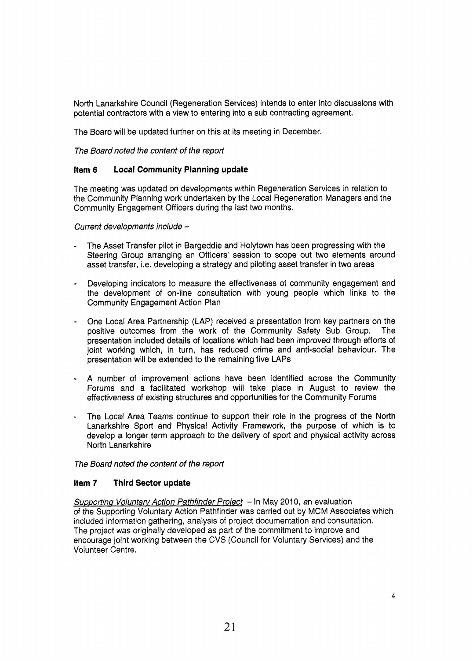North Lanarkshire Council (Regeneration Services) intends to enter into discussions with potential contractors with a view to entering into a sub contracting agreement.

The Board will be updated further on this at its meeting in December.

*The Board noted the content of the report* 

# **Item 6 Local Community Planning update**

The meeting was updated on developments within Regeneration Services in relation to the Community Planning work undertaken by the Local Regeneration Managers and the Community Engagement Officers during the last two months.

*Current developments include* -

- The Asset Transfer pilot in Bargeddie and Holytown has been progressing with the Steering Group arranging an Officers' session to scope out two elements around asset transfer, i.e. developing a strategy and piloting asset transfer in two areas
- Developing indicators to measure the effectiveness of community engagement and the development *of* on-line consultation with young people which links to the Community Engagement Action Plan
- One Local Area Partnership (LAP) received a presentation from key partners on the positive outcomes from the work of the Community Safety Sub Group. The presentation included details of locations which had been improved through efforts of joint working which, in turn, has reduced crime and anti-social behaviour. The presentation will be extended to the remaining five LAPS
- A number of improvement actions have been identified across the Community Forums and a facilitated workshop will take place in August to review the effectiveness of existing structures and opportunities for the Community Forums
- The Local Area Teams continue to support their role in the progress of the North Lanarkshire Sport and Physical Activity Framework, the purpose of which is to develop a longer term approach to the delivery of sport and physical activity across North Lanarkshire

*The Board noted the content of the report* 

# **Item 7 Third Sector update**

**Supporting Voluntary Action Pathfinder Project** - In May 2010, an evaluation *of* the Supporting Voluntary Action Pathfinder was carried out by MCM Associates which included information gathering, analysis of project documentation and consultation. The project was originally developed as part of the commitment to improve and encourage joint working between the CVS (Council for Voluntary Services) and the Volunteer Centre.